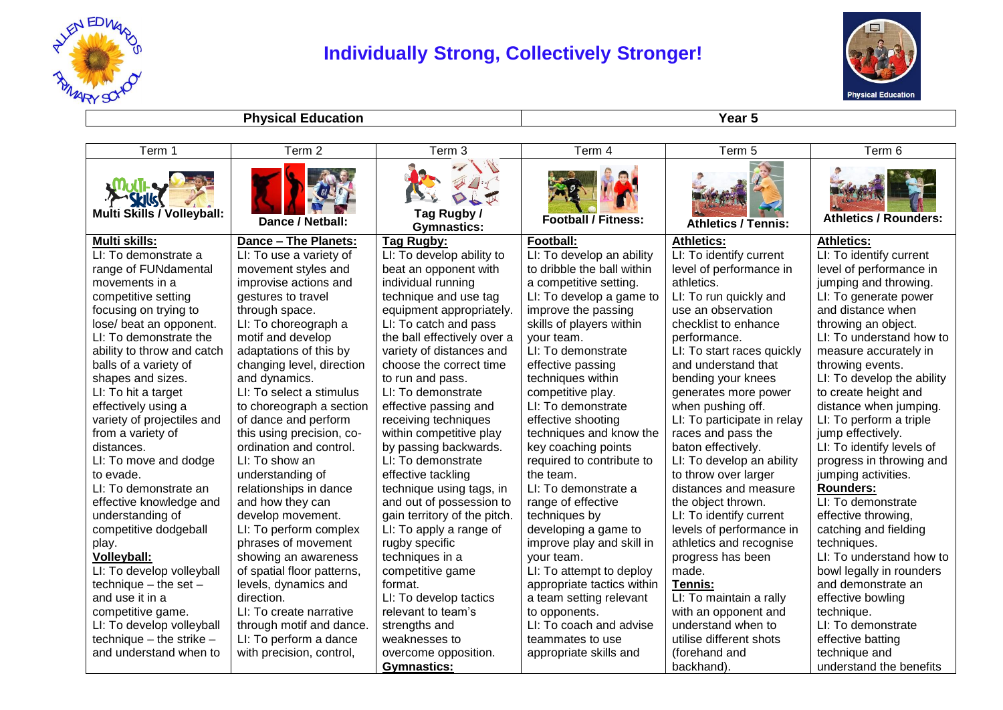

## **Individually Strong, Collectively Stronger!**



**Physical Education Year 5** 

| Term 1                     | Term <sub>2</sub>          | Term 3                            | Term 4                     | Term 5                      | Term 6                       |
|----------------------------|----------------------------|-----------------------------------|----------------------------|-----------------------------|------------------------------|
| Multi Skills / Volleyball: | Dance / Netball:           | Tag Rugby /<br><b>Gymnastics:</b> | <b>Football / Fitness:</b> | <b>Athletics / Tennis:</b>  | <b>Athletics / Rounders:</b> |
| <b>Multi skills:</b>       | Dance - The Planets:       | <b>Tag Rugby:</b>                 | Football:                  | Athletics:                  | <b>Athletics:</b>            |
| LI: To demonstrate a       | LI: To use a variety of    | LI: To develop ability to         | LI: To develop an ability  | LI: To identify current     | LI: To identify current      |
| range of FUNdamental       | movement styles and        | beat an opponent with             | to dribble the ball within | level of performance in     | level of performance in      |
| movements in a             | improvise actions and      | individual running                | a competitive setting.     | athletics.                  | jumping and throwing.        |
| competitive setting        | gestures to travel         | technique and use tag             | LI: To develop a game to   | LI: To run quickly and      | LI: To generate power        |
| focusing on trying to      | through space.             | equipment appropriately.          | improve the passing        | use an observation          | and distance when            |
| lose/ beat an opponent.    | LI: To choreograph a       | LI: To catch and pass             | skills of players within   | checklist to enhance        | throwing an object.          |
| LI: To demonstrate the     | motif and develop          | the ball effectively over a       | your team.                 | performance.                | LI: To understand how to     |
| ability to throw and catch | adaptations of this by     | variety of distances and          | LI: To demonstrate         | LI: To start races quickly  | measure accurately in        |
| balls of a variety of      | changing level, direction  | choose the correct time           | effective passing          | and understand that         | throwing events.             |
| shapes and sizes.          | and dynamics.              | to run and pass.                  | techniques within          | bending your knees          | LI: To develop the ability   |
| LI: To hit a target        | LI: To select a stimulus   | LI: To demonstrate                | competitive play.          | generates more power        | to create height and         |
| effectively using a        | to choreograph a section   | effective passing and             | LI: To demonstrate         | when pushing off.           | distance when jumping.       |
| variety of projectiles and | of dance and perform       | receiving techniques              | effective shooting         | LI: To participate in relay | LI: To perform a triple      |
| from a variety of          | this using precision, co-  | within competitive play           | techniques and know the    | races and pass the          | jump effectively.            |
| distances.                 | ordination and control.    | by passing backwards.             | key coaching points        | baton effectively.          | LI: To identify levels of    |
| LI: To move and dodge      | LI: To show an             | LI: To demonstrate                | required to contribute to  | LI: To develop an ability   | progress in throwing and     |
| to evade.                  | understanding of           | effective tackling                | the team.                  | to throw over larger        | jumping activities.          |
| LI: To demonstrate an      | relationships in dance     | technique using tags, in          | LI: To demonstrate a       | distances and measure       | Rounders:                    |
| effective knowledge and    | and how they can           | and out of possession to          | range of effective         | the object thrown.          | LI: To demonstrate           |
| understanding of           | develop movement.          | gain territory of the pitch.      | techniques by              | LI: To identify current     | effective throwing,          |
| competitive dodgeball      | LI: To perform complex     | LI: To apply a range of           | developing a game to       | levels of performance in    | catching and fielding        |
| play.                      | phrases of movement        | rugby specific                    | improve play and skill in  | athletics and recognise     | techniques.                  |
| Volleyball:                | showing an awareness       | techniques in a                   | your team.                 | progress has been           | LI: To understand how to     |
| LI: To develop volleyball  | of spatial floor patterns, | competitive game                  | LI: To attempt to deploy   | made.                       | bowl legally in rounders     |
| technique $-$ the set $-$  | levels, dynamics and       | format.                           | appropriate tactics within | Tennis:                     | and demonstrate an           |
| and use it in a            | direction.                 | LI: To develop tactics            | a team setting relevant    | LI: To maintain a rally     | effective bowling            |
| competitive game.          | LI: To create narrative    | relevant to team's                | to opponents.              | with an opponent and        | technique.                   |
| LI: To develop volleyball  | through motif and dance.   | strengths and                     | LI: To coach and advise    | understand when to          | LI: To demonstrate           |
| $technique - the strike -$ | LI: To perform a dance     | weaknesses to                     | teammates to use           | utilise different shots     | effective batting            |
| and understand when to     | with precision, control,   | overcome opposition.              | appropriate skills and     | (forehand and               | technique and                |
|                            |                            | <b>Gymnastics:</b>                |                            | backhand).                  | understand the benefits      |